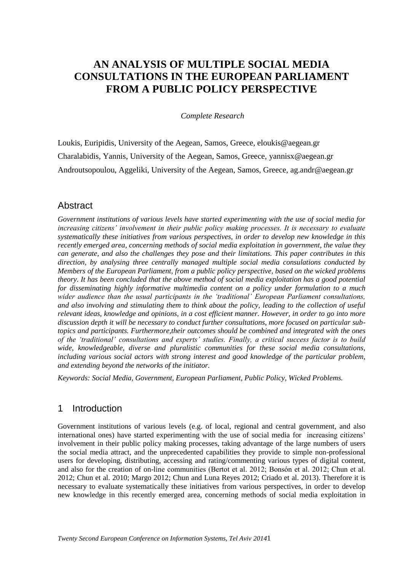# **AN ANALYSIS OF MULTIPLE SOCIAL MEDIA CONSULTATIONS IN THE EUROPEAN PARLIAMENT FROM A PUBLIC POLICY PERSPECTIVE**

*Complete Research*

Loukis, Euripidis, University of the Aegean, Samos, Greece, eloukis@aegean.gr Charalabidis, Yannis, University of the Aegean, Samos, Greece, yannisx@aegean.gr Androutsopoulou, Aggeliki, University of the Aegean, Samos, Greece, ag.andr@aegean.gr

## **Abstract**

*Government institutions of various levels have started experimenting with the use of social media for increasing citizens" involvement in their public policy making processes. It is necessary to evaluate systematically these initiatives from various perspectives, in order to develop new knowledge in this recently emerged area, concerning methods of social media exploitation in government, the value they can generate, and also the challenges they pose and their limitations. This paper contributes in this direction, by analysing three centrally managed multiple social media consulations conducted by Members of the European Parliament, from a public policy perspective, based on the wicked problems theory. It has been concluded that the above method of social media exploitation has a good potential for disseminating highly informative multimedia content on a policy under formulation to a much wider audience than the usual participants in the "traditional" European Parliament consultations, and also involving and stimulating them to think about the policy, leading to the collection of useful relevant ideas, knowledge and opinions, in a cost efficient manner. However, in order to go into more discussion depth it will be necessary to conduct further consultations, more focused on particular subtopics and participants. Furthermore,their outcomes should be combined and integrated with the ones of the "traditional" consultations and experts" studies. Finally, a critical success factor is to build wide, knowledgeable, diverse and pluralistic communities for these social media consultations, including various social actors with strong interest and good knowledge of the particular problem, and extending beyond the networks of the initiator.*

*Keywords: Social Media, Government, European Parliament, Public Policy, Wicked Problems.*

# 1 Introduction

Government institutions of various levels (e.g. of local, regional and central government, and also international ones) have started experimenting with the use of social media for increasing citizens' involvement in their public policy making processes, taking advantage of the large numbers of users the social media attract, and the unprecedented capabilities they provide to simple non-professional users for developing, distributing, accessing and rating/commenting various types of digital content, and also for the creation of on-line communities (Bertot et al. 2012; Bonsón et al. 2012; Chun et al. 2012; Chun et al. 2010; Margo 2012; Chun and Luna Reyes 2012; Criado et al. 2013). Therefore it is necessary to evaluate systematically these initiatives from various perspectives, in order to develop new knowledge in this recently emerged area, concerning methods of social media exploitation in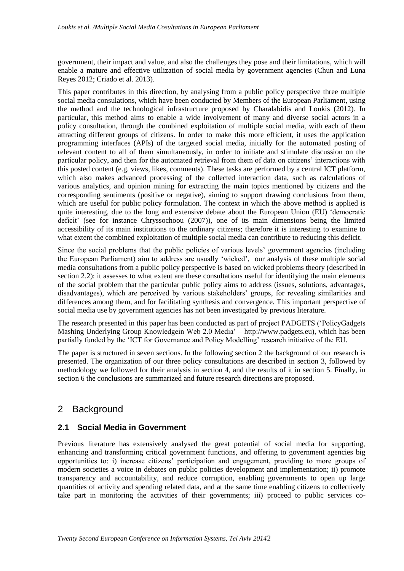government, their impact and value, and also the challenges they pose and their limitations, which will enable a mature and effective utilization of social media by government agencies (Chun and Luna Reyes 2012; Criado et al. 2013).

This paper contributes in this direction, by analysing from a public policy perspective three multiple social media consulations, which have been conducted by Members of the European Parliament, using the method and the technological infrastructure proposed by Charalabidis and Loukis (2012). In particular, this method aims to enable a wide involvement of many and diverse social actors in a policy consultation, through the combined exploitation of multiple social media, with each of them attracting different groups of citizens. In order to make this more efficient, it uses the application programming interfaces (APIs) of the targeted social media, initially for the automated posting of relevant content to all of them simultaneously, in order to initiate and stimulate discussion on the particular policy, and then for the automated retrieval from them of data on citizens" interactions with this posted content (e.g. views, likes, comments). These tasks are performed by a central ICT platform, which also makes advanced processing of the collected interaction data, such as calculations of various analytics, and opinion mining for extracting the main topics mentioned by citizens and the corresponding sentiments (positive or negative), aiming to support drawing conclusions from them, which are useful for public policy formulation. The context in which the above method is applied is quite interesting, due to the long and extensive debate about the European Union (EU) "democratic deficit" (see for instance Chryssochoou (2007)), one of its main dimensions being the limited accessibility of its main institutions to the ordinary citizens; therefore it is interesting to examine to what extent the combined exploitation of multiple social media can contribute to reducing this deficit.

Since the social problems that the public policies of various levels" government agencies (including the European Parliament) aim to address are usually "wicked", our analysis of these multiple social media consultations from a public policy perspective is based on wicked problems theory (described in section 2.2): it assesses to what extent are these consultations useful for identifying the main elements of the social problem that the particular public policy aims to address (issues, solutions, advantages, disadvantages), which are perceived by various stakeholders" groups, for revealing similarities and differences among them, and for facilitating synthesis and convergence. This important perspective of social media use by government agencies has not been investigated by previous literature.

The research presented in this paper has been conducted as part of project PADGETS ("PolicyGadgets Mashing Underlying Group Knowledgein Web 2.0 Media" – http://www.padgets.eu), which has been partially funded by the "ICT for Governance and Policy Modelling" research initiative of the EU.

The paper is structured in seven sections. In the following section 2 the background of our research is presented. The organization of our three policy consultations are described in section 3, followed by methodology we followed for their analysis in section 4, and the results of it in section 5. Finally, in section 6 the conclusions are summarized and future research directions are proposed.

# 2 Background

### **2.1 Social Media in Government**

Previous literature has extensively analysed the great potential of social media for supporting, enhancing and transforming critical government functions, and offering to government agencies big opportunities to: i) increase citizens" participation and engagement, providing to more groups of modern societies a voice in debates on public policies development and implementation; ii) promote transparency and accountability, and reduce corruption, enabling governments to open up large quantities of activity and spending related data, and at the same time enabling citizens to collectively take part in monitoring the activities of their governments; iii) proceed to public services co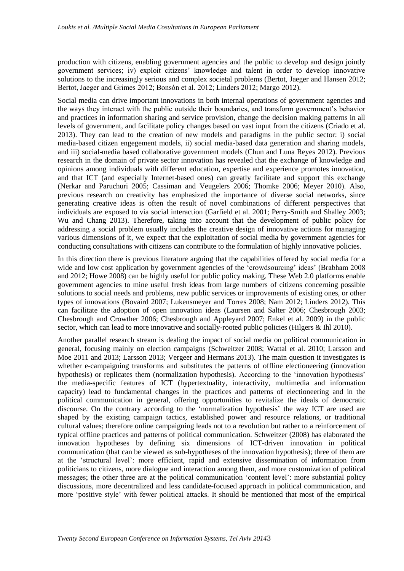production with citizens, enabling government agencies and the public to develop and design jointly government services; iv) exploit citizens" knowledge and talent in order to develop innovative solutions to the increasingly serious and complex societal problems (Bertot, Jaeger and Hansen 2012; Bertot, Jaeger and Grimes 2012; Bonsón et al. 2012; Linders 2012; Margo 2012).

Social media can drive important innovations in both internal operations of government agencies and the ways they interact with the public outside their boundaries, and transform government"s behavior and practices in information sharing and service provision, change the decision making patterns in all levels of government, and facilitate policy changes based on vast input from the citizens (Criado et al. 2013). They can lead to the creation of new models and paradigms in the public sector: i) social media-based citizen engegement models, ii) social media-based data generation and sharing models, and iii) social-media based collaborative government models (Chun and Luna Reyes 2012). Previous research in the domain of private sector innovation has revealed that the exchange of knowledge and opinions among individuals with different education, expertise and experience promotes innovation, and that ICT (and especially Internet-based ones) can greatly facilitate and support this exchange (Nerkar and Paruchuri 2005; Cassiman and Veugelers 2006; Thomke 2006; Meyer 2010). Also, previous research on creativity has emphasized the importance of diverse social networks, since generating creative ideas is often the result of novel combinations of different perspectives that individuals are exposed to via social interaction (Garfield et al. 2001; Perry-Smith and Shalley 2003; Wu and Chang 2013). Therefore, taking into account that the development of public policy for addressing a social problem usually includes the creative design of innovative actions for managing various dimensions of it, we expect that the exploitation of social media by government agencies for conducting consultations with citizens can contribute to the formulation of highly innovative policies.

In this direction there is previous literature arguing that the capabilities offered by social media for a wide and low cost application by government agencies of the 'crowdsourcing' ideas' (Brabham 2008) and 2012; Howe 2008) can be highly useful for public policy making. These Web 2.0 platforms enable government agencies to mine useful fresh ideas from large numbers of citizens concerning possible solutions to social needs and problems, new public services or improvements of existing ones, or other types of innovations (Bovaird 2007; Lukensmeyer and Torres 2008; Nam 2012; Linders 2012). This can facilitate the adoption of open innovation ideas (Laursen and Salter 2006; Chesbrough 2003; Chesbrough and Crowther 2006; Chesbrough and Appleyard 2007; Enkel et al. 2009) in the public sector, which can lead to more innovative and socially-rooted public policies (Hilgers & Ihl 2010).

Another parallel research stream is dealing the impact of social media on political communication in general, focusing mainly on election campaigns (Schweitzer 2008; Wattal et al. 2010; Larsson and Moe 2011 and 2013; Larsson 2013; Vergeer and Hermans 2013). The main question it investigates is whether e-campaigning transforms and substitutes the patterns of offline electioneering (innovation hypothesis) or replicates them (normalization hypothesis). According to the 'innovation hypothesis' the media-specific features of ICT (hypertextuality, interactivity, multimedia and information capacity) lead to fundamental changes in the practices and patterns of electioneering and in the political communication in general, offering opportunities to revitalize the ideals of democratic discourse. On the contrary according to the "normalization hypothesis" the way ICT are used are shaped by the existing campaign tactics, established power and resource relations, or traditional cultural values; therefore online campaigning leads not to a revolution but rather to a reinforcement of typical offline practices and patterns of political communication. Schweitzer (2008) has elaborated the innovation hypotheses by defining six dimensions of ICT-driven innovation in political communication (that can be viewed as sub-hypotheses of the innovation hypothesis); three of them are at the "structural level": more efficient, rapid and extensive dissemination of information from politicians to citizens, more dialogue and interaction among them, and more customization of political messages; the other three are at the political communication "content level": more substantial policy discussions, more decentralized and less candidate-focused approach in political communication, and more "positive style" with fewer political attacks. It should be mentioned that most of the empirical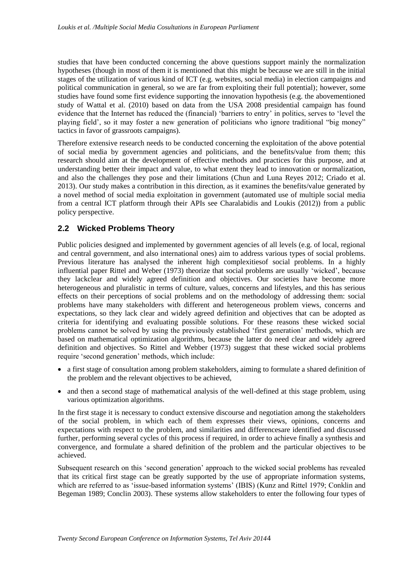studies that have been conducted concerning the above questions support mainly the normalization hypotheses (though in most of them it is mentioned that this might be because we are still in the initial stages of the utilization of various kind of ICT (e.g. websites, social media) in election campaigns and political communication in general, so we are far from exploiting their full potential); however, some studies have found some first evidence supporting the innovation hypothesis (e.g. the abovementioned study of Wattal et al. (2010) based on data from the USA 2008 presidential campaign has found evidence that the Internet has reduced the (financial) "barriers to entry" in politics, serves to "level the playing field", so it may foster a new generation of politicians who ignore traditional "big money" tactics in favor of grassroots campaigns).

Therefore extensive research needs to be conducted concerning the exploitation of the above potential of social media by government agencies and politicians, and the benefits/value from them; this research should aim at the development of effective methods and practices for this purpose, and at understanding better their impact and value, to what extent they lead to innovation or normalization, and also the challenges they pose and their limitations (Chun and Luna Reyes 2012; Criado et al. 2013). Our study makes a contribution in this direction, as it examines the benefits/value generated by a novel method of social media exploitation in government (automated use of multiple social media from a central ICT platform through their APIs see Charalabidis and Loukis (2012)) from a public policy perspective.

### **2.2 Wicked Problems Theory**

Public policies designed and implemented by government agencies of all levels (e.g. of local, regional and central government, and also international ones) aim to address various types of social problems. Previous literature has analysed the inherent high complexitiesof social problems. In a highly influential paper Rittel and Weber (1973) theorize that social problems are usually "wicked", because they lackclear and widely agreed definition and objectives. Our societies have become more heterogeneous and pluralistic in terms of culture, values, concerns and lifestyles, and this has serious effects on their perceptions of social problems and on the methodology of addressing them: social problems have many stakeholders with different and heterogeneous problem views, concerns and expectations, so they lack clear and widely agreed definition and objectives that can be adopted as criteria for identifying and evaluating possible solutions. For these reasons these wicked social problems cannot be solved by using the previously established "first generation" methods, which are based on mathematical optimization algorithms, because the latter do need clear and widely agreed definition and objectives. So Rittel and Webber (1973) suggest that these wicked social problems require "second generation" methods, which include:

- a first stage of consultation among problem stakeholders, aiming to formulate a shared definition of the problem and the relevant objectives to be achieved,
- and then a second stage of mathematical analysis of the well-defined at this stage problem, using various optimization algorithms.

In the first stage it is necessary to conduct extensive discourse and negotiation among the stakeholders of the social problem, in which each of them expresses their views, opinions, concerns and expectations with respect to the problem, and similarities and differencesare identified and discussed further, performing several cycles of this process if required, in order to achieve finally a synthesis and convergence, and formulate a shared definition of the problem and the particular objectives to be achieved.

Subsequent research on this "second generation" approach to the wicked social problems has revealed that its critical first stage can be greatly supported by the use of appropriate information systems, which are referred to as 'issue-based information systems' (IBIS) (Kunz and Rittel 1979; Conklin and Begeman 1989; Conclin 2003). These systems allow stakeholders to enter the following four types of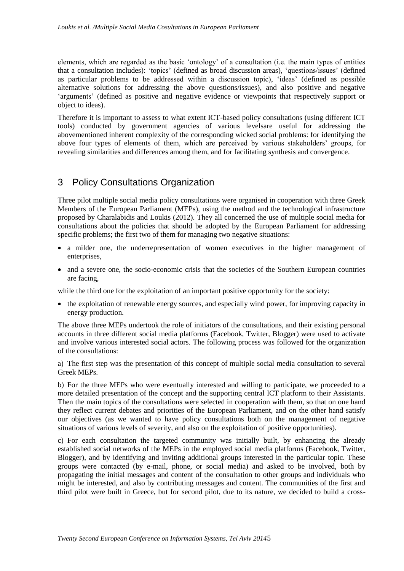elements, which are regarded as the basic "ontology" of a consultation (i.e. the main types of entities that a consultation includes): "topics" (defined as broad discussion areas), "questions/issues" (defined as particular problems to be addressed within a discussion topic), "ideas" (defined as possible alternative solutions for addressing the above questions/issues), and also positive and negative 'arguments' (defined as positive and negative evidence or viewpoints that respectively support or object to ideas).

Therefore it is important to assess to what extent ICT-based policy consultations (using different ICT tools) conducted by government agencies of various levelsare useful for addressing the abovementioned inherent complexity of the corresponding wicked social problems: for identifying the above four types of elements of them, which are perceived by various stakeholders' groups, for revealing similarities and differences among them, and for facilitating synthesis and convergence.

## 3 Policy Consultations Organization

Three pilot multiple social media policy consultations were organised in cooperation with three Greek Members of the European Parliament (MEPs), using the method and the technological infrastructure proposed by Charalabidis and Loukis (2012). They all concerned the use of multiple social media for consultations about the policies that should be adopted by the European Parliament for addressing specific problems; the first two of them for managing two negative situations:

- a milder one, the underrepresentation of women executives in the higher management of enterprises,
- and a severe one, the socio-economic crisis that the societies of the Southern European countries are facing,

while the third one for the exploitation of an important positive opportunity for the society:

• the exploitation of renewable energy sources, and especially wind power, for improving capacity in energy production.

The above three MEPs undertook the role of initiators of the consultations, and their existing personal accounts in three different social media platforms (Facebook, Twitter, Blogger) were used to activate and involve various interested social actors. The following process was followed for the organization of the consultations:

a) The first step was the presentation of this concept of multiple social media consultation to several Greek MEPs.

b) For the three MEPs who were eventually interested and willing to participate, we proceeded to a more detailed presentation of the concept and the supporting central ICT platform to their Assistants. Then the main topics of the consultations were selected in cooperation with them, so that on one hand they reflect current debates and priorities of the European Parliament, and on the other hand satisfy our objectives (as we wanted to have policy consultations both on the management of negative situations of various levels of severity, and also on the exploitation of positive opportunities).

c) For each consultation the targeted community was initially built, by enhancing the already established social networks of the MEPs in the employed social media platforms (Facebook, Twitter, Blogger), and by identifying and inviting additional groups interested in the particular topic. These groups were contacted (by e-mail, phone, or social media) and asked to be involved, both by propagating the initial messages and content of the consultation to other groups and individuals who might be interested, and also by contributing messages and content. The communities of the first and third pilot were built in Greece, but for second pilot, due to its nature, we decided to build a cross-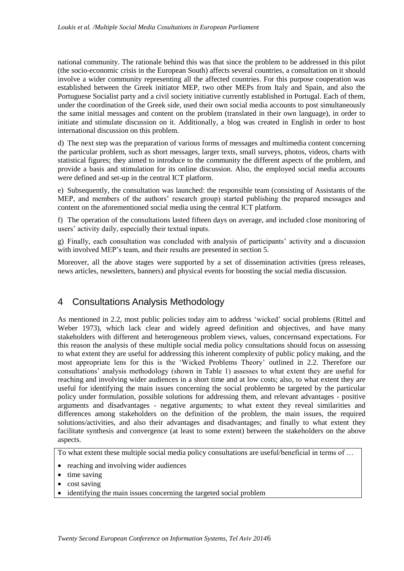national community. The rationale behind this was that since the problem to be addressed in this pilot (the socio-economic crisis in the European South) affects several countries, a consultation on it should involve a wider community representing all the affected countries. For this purpose cooperation was established between the Greek initiator MEP, two other MEPs from Italy and Spain, and also the Portuguese Socialist party and a civil society initiative currently established in Portugal. Each of them, under the coordination of the Greek side, used their own social media accounts to post simultaneously the same initial messages and content on the problem (translated in their own language), in order to initiate and stimulate discussion on it. Additionally, a blog was created in English in order to host international discussion on this problem.

d) The next step was the preparation of various forms of messages and multimedia content concerning the particular problem, such as short messages, larger texts, small surveys, photos, videos, charts with statistical figures; they aimed to introduce to the community the different aspects of the problem, and provide a basis and stimulation for its online discussion. Also, the employed social media accounts were defined and set-up in the central ICT platform.

e) Subsequently, the consultation was launched: the responsible team (consisting of Assistants of the MEP, and members of the authors' research group) started publishing the prepared messages and content on the aforementioned social media using the central ICT platform.

f) The operation of the consultations lasted fifteen days on average, and included close monitoring of users" activity daily, especially their textual inputs.

g) Finally, each consultation was concluded with analysis of participants" activity and a discussion with involved MEP's team, and their results are presented in section 5.

Moreover, all the above stages were supported by a set of dissemination activities (press releases, news articles, newsletters, banners) and physical events for boosting the social media discussion.

# 4 Consultations Analysis Methodology

As mentioned in 2.2, most public policies today aim to address "wicked" social problems (Rittel and Weber 1973), which lack clear and widely agreed definition and objectives, and have many stakeholders with different and heterogeneous problem views, values, concernsand expectations. For this reason the analysis of these multiple social media policy consultations should focus on assessing to what extent they are useful for addressing this inherent complexity of public policy making, and the most appropriate lens for this is the "Wicked Problems Theory" outlined in 2.2. Therefore our consultations" analysis methodology (shown in Table 1) assesses to what extent they are useful for reaching and involving wider audiences in a short time and at low costs; also, to what extent they are useful for identifying the main issues concerning the social problemto be targeted by the particular policy under formulation, possible solutions for addressing them, and relevant advantages - positive arguments and disadvantages - negative arguments; to what extent they reveal similarities and differences among stakeholders on the definition of the problem, the main issues, the required solutions/activities, and also their advantages and disadvantages; and finally to what extent they facilitate synthesis and convergence (at least to some extent) between the stakeholders on the above aspects.

To what extent these multiple social media policy consultations are useful/beneficial in terms of …

- reaching and involving wider audiences
- $\bullet$  time saving
- cost saving
- identifying the main issues concerning the targeted social problem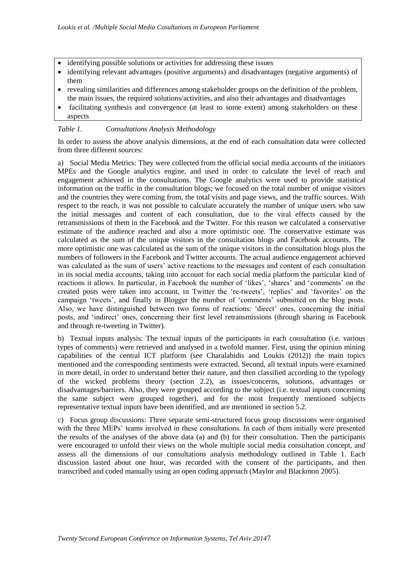- identifying possible solutions or activities for addressing these issues
- identifying relevant advantages (positive arguments) and disadvantages (negative arguments) of them
- revealing similarities and differences among stakeholder groups on the definition of the problem, the main issues, the required solutions/activities, and also their advantages and disadvantages
- facilitating synthesis and convergence (at least to some extent) among stakeholders on these aspects

#### *Table 1. Consultations Analysis Methodology*

In order to assess the above analysis dimensions, at the end of each consultation data were collected from three different sources:

a) Social Media Metrics: They were collected from the official social media accounts of the initiators MPEs and the Google analytics engine, and used in order to calculate the level of reach and engagement achieved in the consultations. The Google analytics were used to provide statistical information on the traffic in the consultation blogs; we focused on the total number of unique visitors and the countries they were coming from, the total visits and page views, and the traffic sources. With respect to the reach, it was not possible to calculate accurately the number of unique users who saw the initial messages and content of each consultation, due to the viral effects caused by the retransmissions of them in the Facebook and the Twitter. For this reason we calculated a conservative estimate of the audience reached and also a more optimistic one. The conservative estimate was calculated as the sum of the unique visitors in the consultation blogs and Facebook accounts. The more optimistic one was calculated as the sum of the unique visitors in the consultation blogs plus the numbers of followers in the Facebook and Twitter accounts. The actual audience engagement achieved was calculated as the sum of users' active reactions to the messages and content of each consultation in its social media accounts, taking into account for each social media platform the particular kind of reactions it allows. In particular, in Facebook the number of 'likes', 'shares' and 'comments' on the created posts were taken into account, in Twitter the 're-tweets', 'replies' and 'favorites' on the campaign 'tweets', and finally in Blogger the number of 'comments' submitted on the blog posts. Also, we have distinguished between two forms of reactions: "direct" ones, concerning the initial posts, and "indirect" ones, concerning their first level retransmissions (through sharing in Facebook and through re-tweeting in Twitter).

b) Textual inputs analysis: The textual inputs of the participants in each consultation (i.e. various types of comments) were retrieved and analysed in a twofold manner. First, using the opinion mining capabilities of the central ICT platform (see Charalabidis and Loukis (2012)) the main topics mentioned and the corresponding sentiments were extracted. Second, all textual inputs were examined in more detail, in order to understand better their nature, and then classified according to the typology of the wicked problems theory (section 2.2), as issues/concerns, solutions, advantages or disadvantages/barriers. Also, they were grouped according to the subject (i.e. textual inputs concerning the same subject were grouped together), and for the most frequently mentioned subjects representative textual inputs have been identified, and are mentioned in section 5.2.

c) Focus group discussions: Three separate semi-structured focus group discussions were organised with the three MEPs' teams involved in these consultations. In each of them initially were presented the results of the analyses of the above data (a) and (b) for their consultation. Then the participants were encouraged to unfold their views on the whole multiple social media consultation concept, and assess all the dimensions of our consultations analysis methodology outlined in Table 1. Each discussion lasted about one hour, was recorded with the consent of the participants, and then transcribed and coded manually using an open coding approach (Maylor and Blackmon 2005).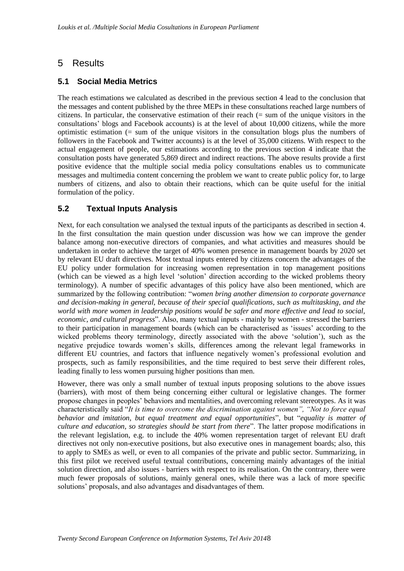# 5 Results

### **5.1 Social Media Metrics**

The reach estimations we calculated as described in the previous section 4 lead to the conclusion that the messages and content published by the three MEPs in these consultations reached large numbers of citizens. In particular, the conservative estimation of their reach (= sum of the unique visitors in the consultations" blogs and Facebook accounts) is at the level of about 10,000 citizens, while the more optimistic estimation (= sum of the unique visitors in the consultation blogs plus the numbers of followers in the Facebook and Twitter accounts) is at the level of 35,000 citizens. With respect to the actual engagement of people, our estimations according to the previous section 4 indicate that the consultation posts have generated 5,869 direct and indirect reactions. The above results provide a first positive evidence that the multiple social media policy consultations enables us to communicate messages and multimedia content concerning the problem we want to create public policy for, to large numbers of citizens, and also to obtain their reactions, which can be quite useful for the initial formulation of the policy.

### **5.2 Textual Inputs Analysis**

Next, for each consultation we analysed the textual inputs of the participants as described in section 4. In the first consultation the main question under discussion was how we can improve the gender balance among non-executive directors of companies, and what activities and measures should be undertaken in order to achieve the target of 40% women presence in management boards by 2020 set by relevant EU draft directives. Most textual inputs entered by citizens concern the advantages of the EU policy under formulation for increasing women representation in top management positions (which can be viewed as a high level "solution" direction according to the wicked problems theory terminology). A number of specific advantages of this policy have also been mentioned, which are summarized by the following contribution: "*women bring another dimension to corporate governance and decision-making in general, because of their special qualifications, such as multitasking, and the world with more women in leadership positions would be safer and more effective and lead to social, economic, and cultural progress*". Also, many textual inputs - mainly by women - stressed the barriers to their participation in management boards (which can be characterised as "issues" according to the wicked problems theory terminology, directly associated with the above "solution"), such as the negative prejudice towards women"s skills, differences among the relevant legal frameworks in different EU countries, and factors that influence negatively women's professional evolution and prospects, such as family responsibilities, and the time required to best serve their different roles, leading finally to less women pursuing higher positions than men.

However, there was only a small number of textual inputs proposing solutions to the above issues (barriers), with most of them being concerning either cultural or legislative changes. The former propose changes in peoples" behaviors and mentalities, and overcoming relevant stereotypes. As it was characteristically said "*It is time to overcome the discrimination against women", "Not to force equal behavior and imitation, but equal treatment and equal opportunities*", but "*equality is matter of culture and education, so strategies should be start from there*". The latter propose modifications in the relevant legislation, e.g. to include the 40% women representation target of relevant EU draft directives not only non-executive positions, but also executive ones in management boards; also, this to apply to SMEs as well, or even to all companies of the private and public sector. Summarizing, in this first pilot we received useful textual contributions, concerning mainly advantages of the initial solution direction, and also issues - barriers with respect to its realisation. On the contrary, there were much fewer proposals of solutions, mainly general ones, while there was a lack of more specific solutions" proposals, and also advantages and disadvantages of them.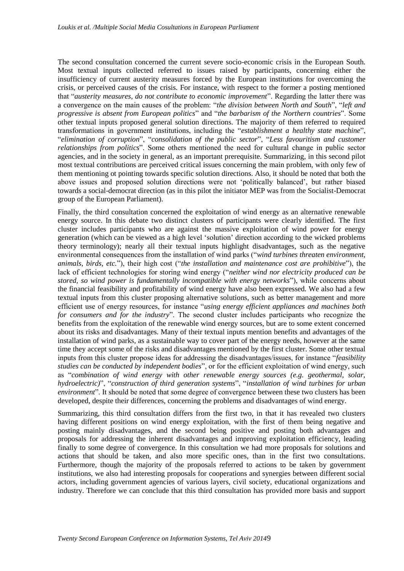The second consultation concerned the current severe socio-economic crisis in the European South. Most textual inputs collected referred to issues raised by participants, concerning either the insufficiency of current austerity measures forced by the European institutions for overcoming the crisis, or perceived causes of the crisis. For instance, with respect to the former a posting mentioned that "*austerity measures, do not contribute to economic improvement*". Regarding the latter there was a convergence on the main causes of the problem: "*the division between North and South*", "*left and progressive is absent from European politics*" and "*the barbarism of the Northern countries*". Some other textual inputs proposed general solution directions. The majority of them referred to required transformations in government institutions, including the "*establishment a healthy state machine*", "*elimination of corruption*", "*consolidation of the public sector*", "*Less favouritism and customer relationships from politics*". Some others mentioned the need for cultural change in public sector agencies, and in the society in general, as an important prerequisite. Summarizing, in this second pilot most textual contributions are perceived critical issues concerning the main problem, with only few of them mentioning ot pointing towards specific solution directions. Also, it should be noted that both the above issues and proposed solution directions were not "politically balanced", but rather biased towards a social-democrat direction (as in this pilot the initiator MEP was from the Socialist-Democrat group of the European Parliament).

Finally, the third consultation concerned the exploitation of wind energy as an alternative renewable energy source. In this debate two distinct clusters of participants were clearly identified. The first cluster includes participants who are against the massive exploitation of wind power for energy generation (which can be viewed as a high level "solution" direction according to the wicked problems theory terminology); nearly all their textual inputs highlight disadvantages, such as the negative environmental consequences from the installation of wind parks ("*wind turbines threaten environment, animals, birds, etc.*"), their high cost ("*the installation and maintenance cost are prohibitive*"), the lack of efficient technologies for storing wind energy ("*neither wind nor electricity produced can be stored, so wind power is fundamentally incompatible with energy networks*"), while concerns about the financial feasibility and profitability of wind energy have also been expressed. We also had a few textual inputs from this cluster proposing alternative solutions, such as better management and more efficient use of energy resources, for instance "*using energy efficient appliances and machines both for consumers and for the industry*". The second cluster includes participants who recognize the benefits from the exploitation of the renewable wind energy sources, but are to some extent concerned about its risks and disadvantages. Many of their textual inputs mention benefits and advantages of the installation of wind parks, as a sustainable way to cover part of the energy needs, however at the same time they accept some of the risks and disadvantages mentioned by the first cluster. Some other textual inputs from this cluster propose ideas for addressing the disadvantages/issues, for instance "*feasibility studies can be conducted by independent bodies*", or for the efficient exploitation of wind energy, such as "*combination of wind energy with other renewable energy sources (e.g. geothermal, solar, hydroelectric)*", "*construction of third generation systems*", "*installation of wind turbines for urban environment*". It should be noted that some degree of convergence between these two clusters has been developed, despite their differences, concerning the problems and disadvantages of wind energy.

Summarizing, this third consultation differs from the first two, in that it has revealed two clusters having different positions on wind energy exploitation, with the first of them being negative and posting mainly disadvantages, and the second being positive and posting both advantages and proposals for addressing the inherent disadvantages and improving exploitation efficiency, leading finally to some degree of convergence. In this consultation we had more proposals for solutions and actions that should be taken, and also more specific ones, than in the first two consultations. Furthermore, though the majority of the proposals referred to actions to be taken by government institutions, we also had interesting proposals for cooperations and synergies between different social actors, including government agencies of various layers, civil society, educational organizations and industry. Therefore we can conclude that this third consultation has provided more basis and support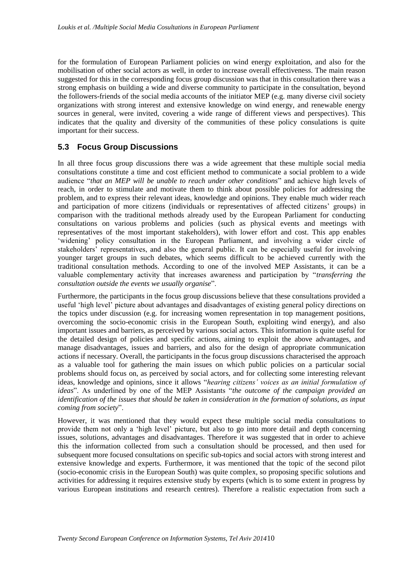for the formulation of European Parliament policies on wind energy exploitation, and also for the mobilisation of other social actors as well, in order to increase overall effectiveness. The main reason suggested for this in the corresponding focus group discussion was that in this consultation there was a strong emphasis on building a wide and diverse community to participate in the consultation, beyond the followers-friends of the social media accounts of the initiator MEP (e.g. many diverse civil society organizations with strong interest and extensive knowledge on wind energy, and renewable energy sources in general, were invited, covering a wide range of different views and perspectives). This indicates that the quality and diversity of the communities of these policy consulations is quite important for their success.

### **5.3 Focus Group Discussions**

In all three focus group discussions there was a wide agreement that these multiple social media consultations constitute a time and cost efficient method to communicate a social problem to a wide audience "*that an MEP will be unable to reach under other conditions*" and achieve high levels of reach, in order to stimulate and motivate them to think about possible policies for addressing the problem, and to express their relevant ideas, knowledge and opinions. They enable much wider reach and participation of more citizens (individuals or representatives of affected citizens" groups) in comparison with the traditional methods already used by the European Parliament for conducting consultations on various problems and policies (such as physical events and meetings with representatives of the most important stakeholders), with lower effort and cost. This app enables 'widening' policy consultation in the European Parliament, and involving a wider circle of stakeholders" representatives, and also the general public. It can be especially useful for involving younger target groups in such debates, which seems difficult to be achieved currently with the traditional consultation methods. According to one of the involved MEP Assistants, it can be a valuable complementary activity that increases awareness and participation by "*transferring the consultation outside the events we usually organise*".

Furthermore, the participants in the focus group discussions believe that these consultations provided a useful "high level" picture about advantages and disadvantages of existing general policy directions on the topics under discussion (e.g. for increasing women representation in top management positions, overcoming the socio-economic crisis in the European South, exploiting wind energy), and also important issues and barriers, as perceived by various social actors. This information is quite useful for the detailed design of policies and specific actions, aiming to exploit the above advantages, and manage disadvantages, issues and barriers, and also for the design of appropriate communication actions if necessary. Overall, the participants in the focus group discussions characterised the approach as a valuable tool for gathering the main issues on which public policies on a particular social problems should focus on, as perceived by social actors, and for collecting some interesting relevant ideas, knowledge and opinions, since it allows "*hearing citizens" voices as an initial formulation of ideas*". As underlined by one of the MEP Assistants "*the outcome of the campaign provided an identification of the issues that should be taken in consideration in the formation of solutions, as input coming from society*".

However, it was mentioned that they would expect these multiple social media consultations to provide them not only a "high level" picture, but also to go into more detail and depth concerning issues, solutions, advantages and disadvantages. Therefore it was suggested that in order to achieve this the information collected from such a consultation should be processed, and then used for subsequent more focused consultations on specific sub-topics and social actors with strong interest and extensive knowledge and experts. Furthermore, it was mentioned that the topic of the second pilot (socio-economic crisis in the European South) was quite complex, so proposing specific solutions and activities for addressing it requires extensive study by experts (which is to some extent in progress by various European institutions and research centres). Therefore a realistic expectation from such a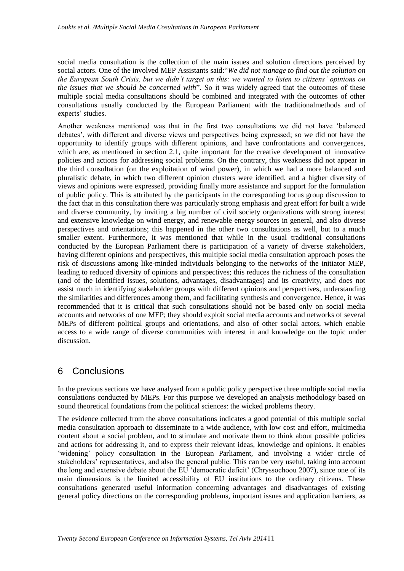social media consultation is the collection of the main issues and solution directions perceived by social actors. One of the involved MEP Assistants said:"*We did not manage to find out the solution on the European South Crisis, but we didn"t target on this: we wanted to listen to citizens" opinions on the issues that we should be concerned with*". So it was widely agreed that the outcomes of these multiple social media consultations should be combined and integrated with the outcomes of other consultations usually conducted by the European Parliament with the traditionalmethods and of experts' studies.

Another weakness mentioned was that in the first two consultations we did not have "balanced debates", with different and diverse views and perspectives being expressed; so we did not have the opportunity to identify groups with different opinions, and have confrontations and convergences, which are, as mentioned in section 2.1, quite important for the creative development of innovative policies and actions for addressing social problems. On the contrary, this weakness did not appear in the third consultation (on the exploitation of wind power), in which we had a more balanced and pluralistic debate, in which two different opinion clusters were identified, and a higher diversity of views and opinions were expressed, providing finally more assistance and support for the formulation of public policy. This is attributed by the participants in the corresponding focus group discussion to the fact that in this consultation there was particularly strong emphasis and great effort for built a wide and diverse community, by inviting a big number of civil society organizations with strong interest and extensive knowledge on wind energy, and renewable energy sources in general, and also diverse perspectives and orientations; this happened in the other two consultations as well, but to a much smaller extent. Furthermore, it was mentioned that while in the usual traditional consultations conducted by the European Parliament there is participation of a variety of diverse stakeholders, having different opinions and perspectives, this multiple social media consultation approach poses the risk of discussions among like-minded individuals belonging to the networks of the initiator MEP, leading to reduced diversity of opinions and perspectives; this reduces the richness of the consultation (and of the identified issues, solutions, advantages, disadvantages) and its creativity, and does not assist much in identifying stakeholder groups with different opinions and perspectives, understanding the similarities and differences among them, and facilitating synthesis and convergence. Hence, it was recommended that it is critical that such consultations should not be based only on social media accounts and networks of one MEP; they should exploit social media accounts and networks of several MEPs of different political groups and orientations, and also of other social actors, which enable access to a wide range of diverse communities with interest in and knowledge on the topic under discussion.

### 6 Conclusions

In the previous sections we have analysed from a public policy perspective three multiple social media consulations conducted by MEPs. For this purpose we developed an analysis methodology based on sound theoretical foundations from the political sciences: the wicked problems theory.

The evidence collected from the above consultations indicates a good potential of this multiple social media consultation approach to disseminate to a wide audience, with low cost and effort, multimedia content about a social problem, and to stimulate and motivate them to think about possible policies and actions for addressing it, and to express their relevant ideas, knowledge and opinions. It enables 'widening' policy consultation in the European Parliament, and involving a wider circle of stakeholders" representatives, and also the general public. This can be very useful, taking into account the long and extensive debate about the EU "democratic deficit" (Chryssochoou 2007), since one of its main dimensions is the limited accessibility of EU institutions to the ordinary citizens. These consultations generated useful information concerning advantages and disadvantages of existing general policy directions on the corresponding problems, important issues and application barriers, as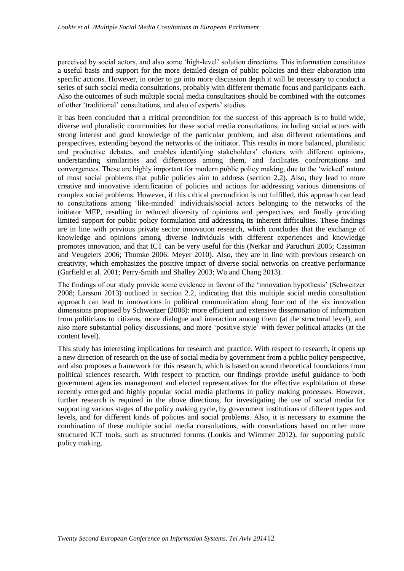perceived by social actors, and also some "high-level" solution directions. This information constitutes a useful basis and support for the more detailed design of public policies and their elaboration into specific actions. However, in order to go into more discussion depth it will be necessary to conduct a series of such social media consultations, probably with different thematic focus and participants each. Also the outcomes of such multiple social media consultations should be combined with the outcomes of other "traditional" consultations, and also of experts" studies.

It has been concluded that a critical precondition for the success of this approach is to build wide, diverse and pluralistic communities for these social media consultations, including social actors with strong interest and good knowledge of the particular problem, and also different orientations and perspectives, extending beyond the networks of the initiator. This results in more balanced, pluralistic and productive debates, and enables identifying stakeholders' clusters with different opinions, understanding similarities and differences among them, and facilitates confrontations and convergences. These are highly important for modern public policy making, due to the "wicked" nature of most social problems that public policies aim to address (section 2.2). Also, they lead to more creative and innovative identification of policies and actions for addressing various dimensions of complex social problems. However, if this critical precondition is not fulfilled, this approach can lead to consultations among "like-minded" individuals/social actors belonging to the networks of the initiator MEP, resulting in reduced diversity of opinions and perspectives, and finally providing limited support for public policy formulation and addressing its inherent difficulties. These findings are in line with previous private sector innovation research, which concludes that the exchange of knowledge and opinions among diverse individuals with different experiences and knowledge promotes innovation, and that ICT can be very useful for this (Nerkar and Paruchuri 2005; Cassiman and Veugelers 2006; Thomke 2006; Meyer 2010). Also, they are in line with previous research on creativity, which emphasizes the positive impact of diverse social networks on creative performance (Garfield et al. 2001; Perry-Smith and Shalley 2003; Wu and Chang 2013).

The findings of our study provide some evidence in favour of the "innovation hypothesis" (Schweitzer 2008; Larsson 2013) outlined in section 2.2, indicating that this multiple social media consultation approach can lead to innovations in political communication along four out of the six innovation dimensions proposed by Schweitzer (2008): more efficient and extensive dissemination of information from politicians to citizens, more dialogue and interaction among them (at the structural level), and also more substantial policy discussions, and more "positive style" with fewer political attacks (at the content level).

This study has interesting implications for research and practice. With respect to research, it opens up a new direction of research on the use of social media by government from a public policy perspective, and also proposes a framework for this research, which is based on sound theoretical foundations from political sciences research. With respect to practice, our findings provide useful guidance to both government agencies management and elected representatives for the effective exploitation of these recently emerged and highly popular social media platforms in policy making processes. However, further research is required in the above directions, for investigating the use of social media for supporting various stages of the policy making cycle, by government institutions of different types and levels, and for different kinds of policies and social problems. Also, it is necessary to examine the combination of these multiple social media consultations, with consultations based on other more structured ICT tools, such as structured forums (Loukis and Wimmer 2012), for supporting public policy making.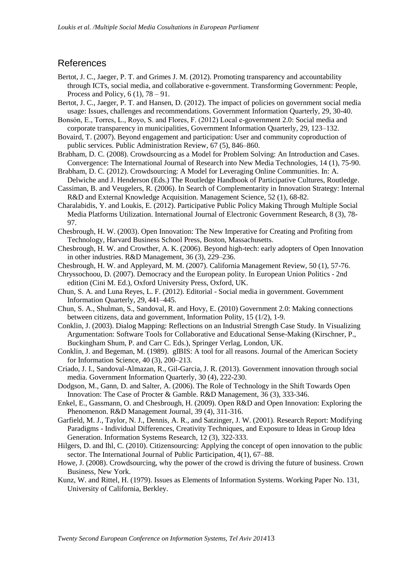### References

- Bertot, J. C., Jaeger, P. T. and Grimes J. M. (2012). Promoting transparency and accountability through ICTs, social media, and collaborative e-government. Transforming Government: People, Process and Policy,  $6(1)$ ,  $78 - 91$ .
- Bertot, J. C., Jaeger, P. T. and Hansen, D. (2012). The impact of policies on government social media usage: Issues, challenges and recommendations. Government Information Quarterly, 29, 30-40.
- Bonsón, E., Torres, L., Royo, S. and Flores, F. (2012) Local e-government 2.0: Social media and corporate transparency in municipalities, Government Information Quarterly, 29, 123–132.
- Bovaird, T. (2007). Beyond engagement and participation: User and community coproduction of public services. Public Administration Review, 67 (5), 846–860.
- Brabham, D. C. (2008). Crowdsourcing as a Model for Problem Solving: An Introduction and Cases. Convergence: The International Journal of Research into New Media Technologies, 14 (1), 75-90.
- Brabham, D. C. (2012). Crowdsourcing: A Model for Leveraging Online Communities. In: A. Delwiche and J. Henderson (Eds.) The Routledge Handbook of Participative Cultures, Routledge.
- Cassiman, B. and Veugelers, R. (2006). In Search of Complementarity in Innovation Strategy: Internal R&D and External Knowledge Acquisition. Management Science, 52 (1), 68-82.
- Charalabidis, Y. and Loukis, E. (2012). Participative Public Policy Making Through Multiple Social Media Platforms Utilization. International Journal of Electronic Government Research, 8 (3), 78- 97.
- Chesbrough, H. W. (2003). Open Innovation: The New Imperative for Creating and Profiting from Technology, Harvard Business School Press, Boston, Massachusetts.
- Chesbrough, H. W. and Crowther, A. K. (2006). Beyond high-tech: early adopters of Open Innovation in other industries. R&D Management, 36 (3), 229–236.
- Chesbrough, H. W. and Appleyard, M. M. (2007). California Management Review, 50 (1), 57-76.
- Chryssochoou, D. (2007). Democracy and the European polity. In European Union Politics 2nd edition (Cini M. Ed.), Oxford University Press, Oxford, UK.
- Chun, S. A. and Luna Reyes, L. F. (2012). Editorial Social media in government. Government Information Quarterly, 29, 441–445.
- Chun, S. A., Shulman, S., Sandoval, R. and Hovy, E. (2010) Government 2.0: Making connections between citizens, data and government, Information Polity, 15 (1/2), 1-9.
- Conklin, J. (2003). Dialog Mapping: Reflections on an Industrial Strength Case Study. In Visualizing Argumentation: Software Tools for Collaborative and Educational Sense-Making (Kirschner, P., Buckingham Shum, P. and Carr C. Eds.), Springer Verlag, London, UK.
- Conklin, J. and Begeman, M. (1989). gIBIS: A tool for all reasons. Journal of the American Society for Information Science, 40 (3), 200–213.
- Criado, J. I., Sandoval-Almazan, R., Gil-Garcia, J. R. (2013). Government innovation through social media. Government Information Quarterly, 30 (4), 222-230.
- Dodgson, M., Gann, D. and Salter, A. (2006). The Role of Technology in the Shift Towards Open Innovation: The Case of Procter & Gamble. R&D Management, 36 (3), 333-346.
- Enkel, E., Gassmann, O. and Chesbrough, H. (2009). Open R&D and Open Innovation: Exploring the Phenomenon. R&D Management Journal, 39 (4), 311-316.
- Garfield, M. J., Taylor, N. J., Dennis, A. R., and Satzinger, J. W. (2001). Research Report: Modifying Paradigms - Individual Differences, Creativity Techniques, and Exposure to Ideas in Group Idea Generation. Information Systems Research, 12 (3), 322-333.
- Hilgers, D. and Ihl, C. (2010). Citizensourcing: Applying the concept of open innovation to the public sector. The International Journal of Public Participation, 4(1), 67–88.
- Howe, J. (2008). Crowdsourcing, why the power of the crowd is driving the future of business. Crown Business, New York.
- Kunz, W. and Rittel, H. (1979). Issues as Elements of Information Systems. Working Paper No. 131, University of California, Berkley.